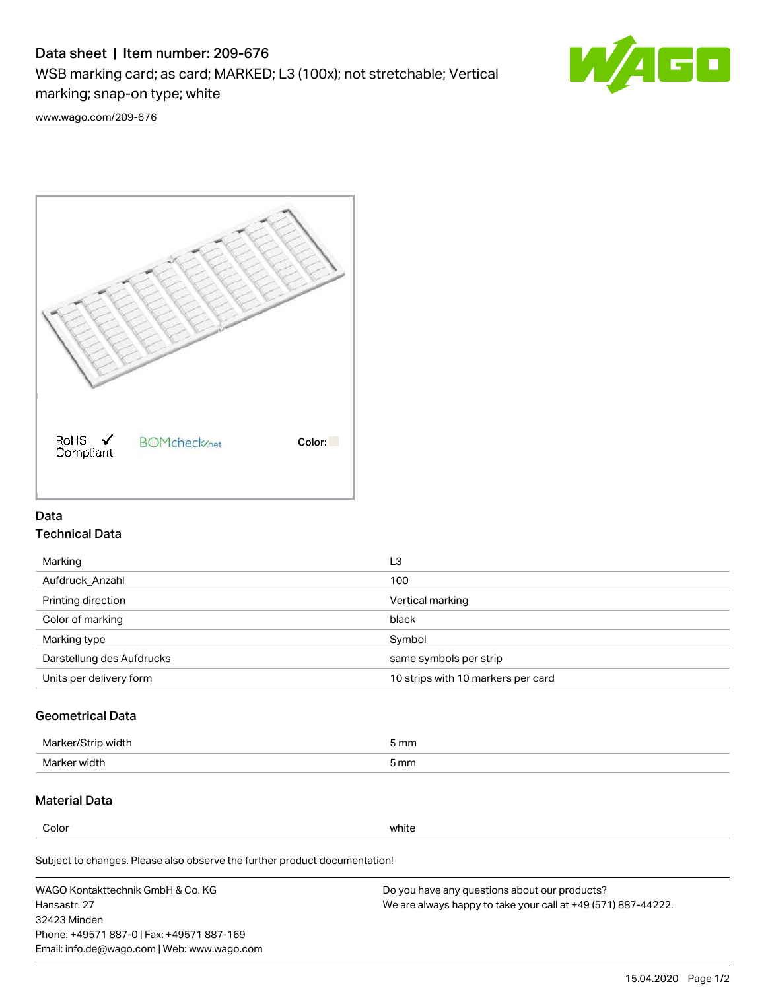# Data sheet | Item number: 209-676

WSB marking card; as card; MARKED; L3 (100x); not stretchable; Vertical

marking; snap-on type; white



[www.wago.com/209-676](http://www.wago.com/209-676)



### Data Technical Data

| Marking                   | L3                                 |
|---------------------------|------------------------------------|
| Aufdruck Anzahl           | 100                                |
| Printing direction        | Vertical marking                   |
| Color of marking          | black                              |
| Marking type              | Symbol                             |
| Darstellung des Aufdrucks | same symbols per strip             |
| Units per delivery form   | 10 strips with 10 markers per card |

## Geometrical Data

| Marker.<br>width | 5 mm |
|------------------|------|
| Marker width     | 5 mm |

## Material Data

Color white

Subject to changes. Please also observe the further product documentation!

WAGO Kontakttechnik GmbH & Co. KG Hansastr. 27 32423 Minden Phone: +49571 887-0 | Fax: +49571 887-169 Email: info.de@wago.com | Web: www.wago.com Do you have any questions about our products? We are always happy to take your call at +49 (571) 887-44222.